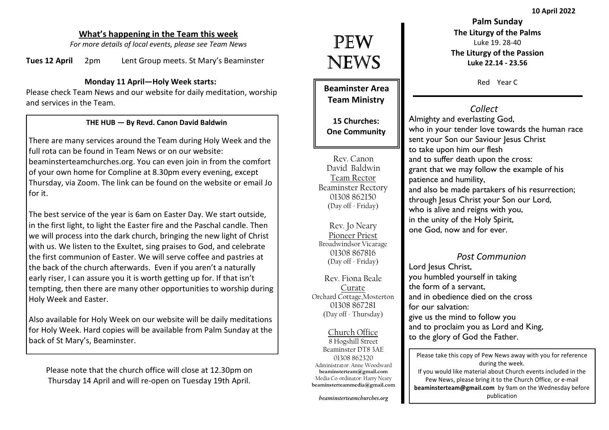10 April 2022

#### What's happening in the Team this week

For more details of local events, please see Team News

Tues 12 April 2pm Lent Group meets. St Mary's Beaminster

#### Monday 11 April—Holy Week starts:

Please check Team News and our website for daily meditation, worship and services in the Team.

#### THE HUB — By Revd. Canon David Baldwin

There are many services around the Team during Holy Week and the full rota can be found in Team News or on our website: beaminsterteamchurches.org. You can even join in from the comfort of your own home for Compline at 8.30pm every evening, except Thursday, via Zoom. The link can be found on the website or email Jo for it.

The best service of the year is 6am on Easter Day. We start outside, in the first light, to light the Easter fire and the Paschal candle. Then we will process into the dark church, bringing the new light of Christ with us. We listen to the Exultet, sing praises to God, and celebrate the first communion of Easter. We will serve coffee and pastries at the back of the church afterwards. Even if you aren't a naturally early riser, I can assure you it is worth getting up for. If that isn't tempting, then there are many other opportunities to worship during Holy Week and Easter.

Also available for Holy Week on our website will be daily meditations for Holy Week. Hard copies will be available from Palm Sunday at the back of St Mary's, Beaminster.

Please note that the church office will close at 12.30pm on Thursday 14 April and will re-open on Tuesday 19th April.

# PEW NEWS

Beaminster Area Team Ministry

15 Churches: One Community

Rev. Canon David Baldwin Team Rector Beaminster Rectory 01308 862150 (Day off - Friday)

Rev. Jo Neary Pioneer Priest Broadwindsor Vicarage 01308 867816 (Day off - Friday)

Rev. Fiona Beale Curate Orchard Cottage,Mosterton 01308 867281(Day off - Thursday)

Church Office 8 Hogshill Street Beaminster DT8 3AE 01308 862320 Administrator: Anne Woodward beaminsterteam@gmail.com Media Co-ordinator: Harry Nearybeaminsterteammedia@gmail.com

beaminsterteamchurches.org

Palm Sunday The Liturgy of the PalmsLuke 19. 28-40 The Liturgy of the PassionLuke 22.14 - 23.56

Red Year C

## **Collect**

 Almighty and everlasting God, who in your tender love towards the human race sent your Son our Saviour Jesus Christ to take upon him our flesh and to suffer death upon the cross: grant that we may follow the example of his patience and humility, and also be made partakers of his resurrection; through Jesus Christ your Son our Lord, who is alive and reigns with you, in the unity of the Holy Spirit, one God, now and for ever.

#### Post Communion

Lord Jesus Christ, you humbled yourself in taking the form of a servant, and in obedience died on the cross for our salvation: give us the mind to follow you and to proclaim you as Lord and King, to the glory of God the Father.

Please take this copy of Pew News away with you for reference during the week. If you would like material about Church events included in the Pew News, please bring it to the Church Office, or e-mail beaminsterteam@gmail.com by 9am on the Wednesday before publication